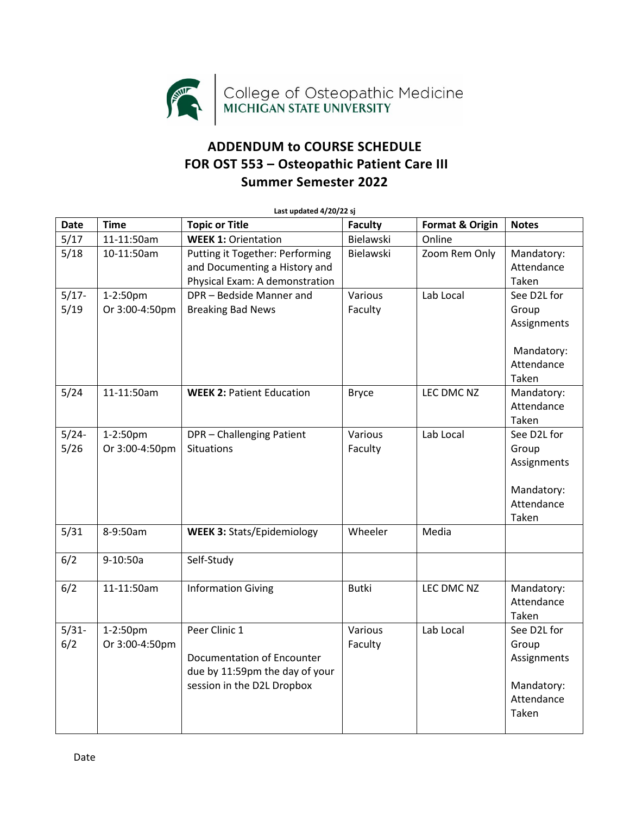

## **ADDENDUM to COURSE SCHEDULE FOR OST 553 – Osteopathic Patient Care III Summer Semester 2022**

| Last updated 4/20/22 sj |                            |                                                                                                             |                    |                            |                                                                          |  |
|-------------------------|----------------------------|-------------------------------------------------------------------------------------------------------------|--------------------|----------------------------|--------------------------------------------------------------------------|--|
| <b>Date</b>             | <b>Time</b>                | <b>Topic or Title</b>                                                                                       | <b>Faculty</b>     | <b>Format &amp; Origin</b> | <b>Notes</b>                                                             |  |
| 5/17                    | 11-11:50am                 | <b>WEEK 1: Orientation</b>                                                                                  | Bielawski          | Online                     |                                                                          |  |
| 5/18                    | 10-11:50am                 | Putting it Together: Performing<br>and Documenting a History and<br>Physical Exam: A demonstration          | Bielawski          | Zoom Rem Only              | Mandatory:<br>Attendance<br>Taken                                        |  |
| $5/17 -$<br>5/19        | 1-2:50pm<br>Or 3:00-4:50pm | DPR-Bedside Manner and<br><b>Breaking Bad News</b>                                                          | Various<br>Faculty | Lab Local                  | See D2L for<br>Group<br>Assignments<br>Mandatory:<br>Attendance<br>Taken |  |
| 5/24                    | 11-11:50am                 | <b>WEEK 2: Patient Education</b>                                                                            | <b>Bryce</b>       | LEC DMC NZ                 | Mandatory:<br>Attendance<br>Taken                                        |  |
| $5/24-$<br>5/26         | 1-2:50pm<br>Or 3:00-4:50pm | DPR - Challenging Patient<br><b>Situations</b>                                                              | Various<br>Faculty | Lab Local                  | See D2L for<br>Group<br>Assignments<br>Mandatory:<br>Attendance<br>Taken |  |
| 5/31                    | 8-9:50am                   | <b>WEEK 3: Stats/Epidemiology</b>                                                                           | Wheeler            | Media                      |                                                                          |  |
| 6/2                     | 9-10:50a                   | Self-Study                                                                                                  |                    |                            |                                                                          |  |
| 6/2                     | 11-11:50am                 | <b>Information Giving</b>                                                                                   | <b>Butki</b>       | LEC DMC NZ                 | Mandatory:<br>Attendance<br>Taken                                        |  |
| $5/31-$<br>6/2          | 1-2:50pm<br>Or 3:00-4:50pm | Peer Clinic 1<br>Documentation of Encounter<br>due by 11:59pm the day of your<br>session in the D2L Dropbox | Various<br>Faculty | Lab Local                  | See D2L for<br>Group<br>Assignments<br>Mandatory:<br>Attendance<br>Taken |  |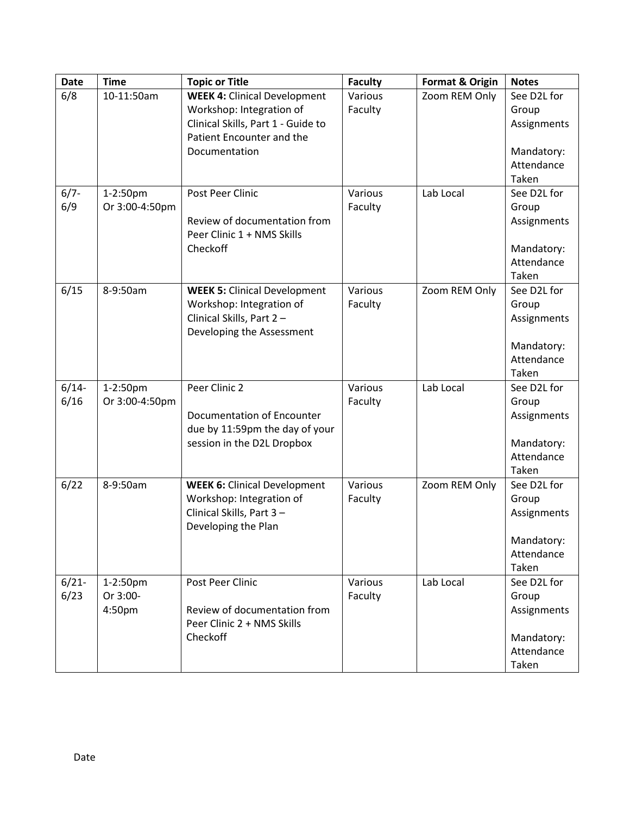| <b>Date</b> | <b>Time</b>    | <b>Topic or Title</b>               | <b>Faculty</b> | <b>Format &amp; Origin</b> | <b>Notes</b>             |
|-------------|----------------|-------------------------------------|----------------|----------------------------|--------------------------|
| 6/8         | 10-11:50am     | <b>WEEK 4: Clinical Development</b> | Various        | Zoom REM Only              | See D2L for              |
|             |                | Workshop: Integration of            | Faculty        |                            | Group                    |
|             |                | Clinical Skills, Part 1 - Guide to  |                |                            | Assignments              |
|             |                | Patient Encounter and the           |                |                            |                          |
|             |                | Documentation                       |                |                            | Mandatory:               |
|             |                |                                     |                |                            | Attendance               |
|             |                |                                     |                |                            | Taken                    |
| $6/7 -$     | 1-2:50pm       | Post Peer Clinic                    | Various        | Lab Local                  | See D2L for              |
| 6/9         | Or 3:00-4:50pm |                                     | Faculty        |                            | Group                    |
|             |                | Review of documentation from        |                |                            | Assignments              |
|             |                | Peer Clinic 1 + NMS Skills          |                |                            |                          |
|             |                | Checkoff                            |                |                            | Mandatory:               |
|             |                |                                     |                |                            | Attendance               |
|             |                |                                     |                |                            | Taken                    |
| 6/15        | 8-9:50am       | <b>WEEK 5: Clinical Development</b> | Various        | Zoom REM Only              | See D2L for              |
|             |                | Workshop: Integration of            | Faculty        |                            | Group                    |
|             |                | Clinical Skills, Part 2-            |                |                            | Assignments              |
|             |                | Developing the Assessment           |                |                            |                          |
|             |                |                                     |                |                            | Mandatory:               |
|             |                |                                     |                |                            | Attendance               |
|             |                |                                     |                |                            | Taken                    |
| $6/14-$     | 1-2:50pm       | Peer Clinic 2                       | Various        | Lab Local                  | See D2L for              |
| 6/16        | Or 3:00-4:50pm |                                     | Faculty        |                            | Group                    |
|             |                | Documentation of Encounter          |                |                            | Assignments              |
|             |                | due by 11:59pm the day of your      |                |                            |                          |
|             |                | session in the D2L Dropbox          |                |                            | Mandatory:               |
|             |                |                                     |                |                            | Attendance               |
|             |                |                                     |                |                            | Taken                    |
| 6/22        | 8-9:50am       | <b>WEEK 6: Clinical Development</b> | Various        | Zoom REM Only              | See D2L for              |
|             |                | Workshop: Integration of            | Faculty        |                            | Group                    |
|             |                | Clinical Skills, Part 3-            |                |                            | Assignments              |
|             |                | Developing the Plan                 |                |                            |                          |
|             |                |                                     |                |                            | Mandatory:<br>Attendance |
|             |                |                                     |                |                            | Taken                    |
| $6/21 -$    | 1-2:50pm       | Post Peer Clinic                    | Various        | Lab Local                  | See D2L for              |
| 6/23        | Or 3:00-       |                                     | Faculty        |                            | Group                    |
|             | 4:50pm         | Review of documentation from        |                |                            | Assignments              |
|             |                | Peer Clinic 2 + NMS Skills          |                |                            |                          |
|             |                | Checkoff                            |                |                            | Mandatory:               |
|             |                |                                     |                |                            | Attendance               |
|             |                |                                     |                |                            | Taken                    |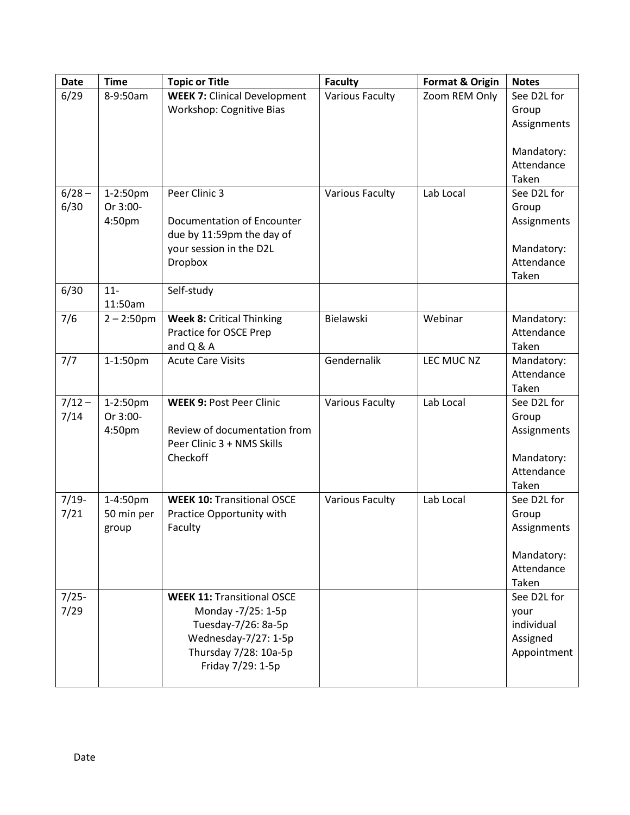| <b>Date</b> | <b>Time</b>   | <b>Topic or Title</b>                  | <b>Faculty</b>         | Format & Origin | <b>Notes</b>             |
|-------------|---------------|----------------------------------------|------------------------|-----------------|--------------------------|
| 6/29        | 8-9:50am      | <b>WEEK 7: Clinical Development</b>    | <b>Various Faculty</b> | Zoom REM Only   | See D2L for              |
|             |               | Workshop: Cognitive Bias               |                        |                 | Group                    |
|             |               |                                        |                        |                 | Assignments              |
|             |               |                                        |                        |                 |                          |
|             |               |                                        |                        |                 | Mandatory:               |
|             |               |                                        |                        |                 | Attendance               |
|             |               |                                        |                        |                 | Taken                    |
| $6/28 -$    | 1-2:50pm      | Peer Clinic 3                          | <b>Various Faculty</b> | Lab Local       | See D2L for              |
| 6/30        | Or 3:00-      |                                        |                        |                 | Group                    |
|             | 4:50pm        | <b>Documentation of Encounter</b>      |                        |                 | Assignments              |
|             |               | due by 11:59pm the day of              |                        |                 |                          |
|             |               | your session in the D2L                |                        |                 | Mandatory:               |
|             |               | Dropbox                                |                        |                 | Attendance<br>Taken      |
| 6/30        | $11-$         | Self-study                             |                        |                 |                          |
|             | 11:50am       |                                        |                        |                 |                          |
| 7/6         | $2 - 2:50$ pm | <b>Week 8: Critical Thinking</b>       | Bielawski              | Webinar         | Mandatory:               |
|             |               | Practice for OSCE Prep                 |                        |                 | Attendance               |
|             |               | and Q & A                              |                        |                 | Taken                    |
| 7/7         | 1-1:50pm      | <b>Acute Care Visits</b>               | Gendernalik            | LEC MUC NZ      | Mandatory:               |
|             |               |                                        |                        |                 | Attendance               |
|             |               |                                        |                        |                 | Taken                    |
| $7/12 -$    | 1-2:50pm      | <b>WEEK 9: Post Peer Clinic</b>        | <b>Various Faculty</b> | Lab Local       | See D2L for              |
| 7/14        | Or 3:00-      |                                        |                        |                 | Group                    |
|             | 4:50pm        | Review of documentation from           |                        |                 | Assignments              |
|             |               | Peer Clinic 3 + NMS Skills<br>Checkoff |                        |                 |                          |
|             |               |                                        |                        |                 | Mandatory:<br>Attendance |
|             |               |                                        |                        |                 | Taken                    |
| $7/19-$     | 1-4:50pm      | <b>WEEK 10: Transitional OSCE</b>      | <b>Various Faculty</b> | Lab Local       | See D2L for              |
| 7/21        | 50 min per    | Practice Opportunity with              |                        |                 | Group                    |
|             | group         | Faculty                                |                        |                 | Assignments              |
|             |               |                                        |                        |                 |                          |
|             |               |                                        |                        |                 | Mandatory:               |
|             |               |                                        |                        |                 | Attendance               |
|             |               |                                        |                        |                 | Taken                    |
| $7/25-$     |               | <b>WEEK 11: Transitional OSCE</b>      |                        |                 | See D2L for              |
| 7/29        |               | Monday -7/25: 1-5p                     |                        |                 | your                     |
|             |               | Tuesday-7/26: 8a-5p                    |                        |                 | individual               |
|             |               | Wednesday-7/27: 1-5p                   |                        |                 | Assigned                 |
|             |               | Thursday 7/28: 10a-5p                  |                        |                 | Appointment              |
|             |               | Friday 7/29: 1-5p                      |                        |                 |                          |
|             |               |                                        |                        |                 |                          |